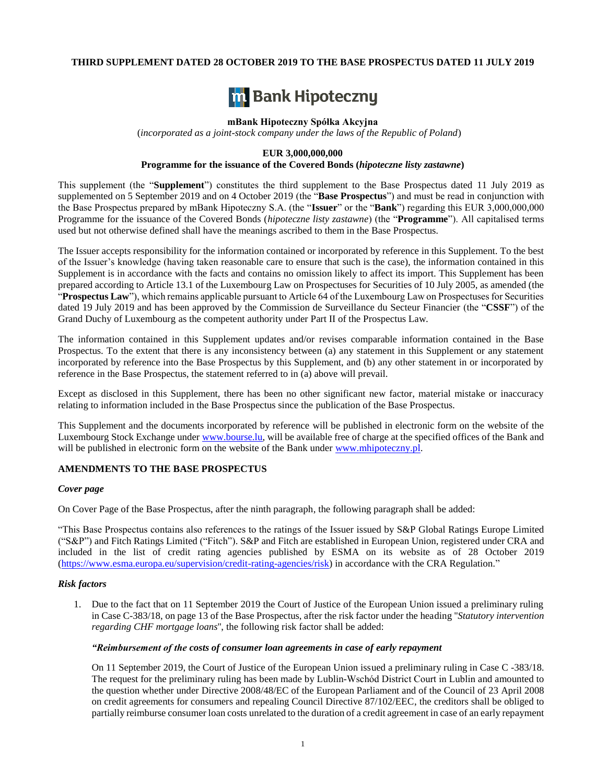# **THIRD SUPPLEMENT DATED 28 OCTOBER 2019 TO THE BASE PROSPECTUS DATED 11 JULY 2019**



#### **mBank Hipoteczny Spółka Akcyjna**

(*incorporated as a joint-stock company under the laws of the Republic of Poland*)

# **EUR 3,000,000,000**

# **Programme for the issuance of the Covered Bonds (***hipoteczne listy zastawne***)**

This supplement (the "**Supplement**") constitutes the third supplement to the Base Prospectus dated 11 July 2019 as supplemented on 5 September 2019 and on 4 October 2019 (the "**Base Prospectus**") and must be read in conjunction with the Base Prospectus prepared by mBank Hipoteczny S.A. (the "**Issuer**" or the "**Bank**") regarding this EUR 3,000,000,000 Programme for the issuance of the Covered Bonds (*hipoteczne listy zastawne*) (the "**Programme**"). All capitalised terms used but not otherwise defined shall have the meanings ascribed to them in the Base Prospectus.

The Issuer accepts responsibility for the information contained or incorporated by reference in this Supplement. To the best of the Issuer's knowledge (having taken reasonable care to ensure that such is the case), the information contained in this Supplement is in accordance with the facts and contains no omission likely to affect its import. This Supplement has been prepared according to Article 13.1 of the Luxembourg Law on Prospectuses for Securities of 10 July 2005, as amended (the "**Prospectus Law**"), which remains applicable pursuant to Article 64 of the Luxembourg Law on Prospectuses for Securities dated 19 July 2019 and has been approved by the Commission de Surveillance du Secteur Financier (the "**CSSF**") of the Grand Duchy of Luxembourg as the competent authority under Part II of the Prospectus Law.

The information contained in this Supplement updates and/or revises comparable information contained in the Base Prospectus. To the extent that there is any inconsistency between (a) any statement in this Supplement or any statement incorporated by reference into the Base Prospectus by this Supplement, and (b) any other statement in or incorporated by reference in the Base Prospectus, the statement referred to in (a) above will prevail.

Except as disclosed in this Supplement, there has been no other significant new factor, material mistake or inaccuracy relating to information included in the Base Prospectus since the publication of the Base Prospectus.

This Supplement and the documents incorporated by reference will be published in electronic form on the website of the Luxembourg Stock Exchange under www.bourse.lu, will be available free of charge at the specified offices of the Bank and will be published in electronic form on the website of the Bank under www.mhipoteczny.pl.

### **AMENDMENTS TO THE BASE PROSPECTUS**

# *Cover page*

On Cover Page of the Base Prospectus, after the ninth paragraph, the following paragraph shall be added:

"This Base Prospectus contains also references to the ratings of the Issuer issued by S&P Global Ratings Europe Limited ("S&P") and Fitch Ratings Limited ("Fitch"). S&P and Fitch are established in European Union, registered under CRA and included in the list of credit rating agencies published by ESMA on its website as of 28 October 2019 [\(https://www.esma.europa.eu/supervision/credit-rating-agencies/risk\)](https://www.esma.europa.eu/supervision/credit-rating-agencies/risk) in accordance with the CRA Regulation."

#### *Risk factors*

1. Due to the fact that on 11 September 2019 the Court of Justice of the European Union issued a preliminary ruling in Case C-383/18, on page 13 of the Base Prospectus, after the risk factor under the heading ''*Statutory intervention regarding CHF mortgage loans*'', the following risk factor shall be added:

#### *"Reimbursement of the costs of consumer loan agreements in case of early repayment*

On 11 September 2019, the Court of Justice of the European Union issued a preliminary ruling in Case C -383/18. The request for the preliminary ruling has been made by Lublin-Wschód District Court in Lublin and amounted to the question whether under Directive 2008/48/EC of the European Parliament and of the Council of 23 April 2008 on credit agreements for consumers and repealing Council Directive 87/102/EEC, the creditors shall be obliged to partially reimburse consumer loan costs unrelated to the duration of a credit agreement in case of an early repayment